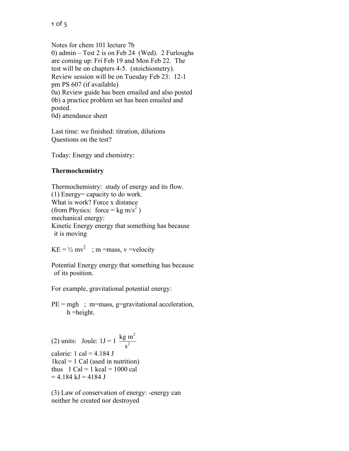Notes for chem 101 lecture 7b 0) admin – Test 2 is on Feb 24 (Wed). 2 Furloughs are coming up: Fri Feb 19 and Mon Feb 22. The test will be on chapters 4-5. (stoichiometry). Review session will be on Tuesday Feb 23: 12-1 pm PS 607 (if available) 0a) Review guide has been emailed and also posted 0b) a practice problem set has been emailed and posted. 0d) attendance sheet

Last time: we finished: titration, dilutions Questions on the test?

Today: Energy and chemistry:

## **Thermochemistry**

Thermochemistry: study of energy and its flow. (1) Energy= capacity to do work. What is work? Force x distance (from Physics: force = kg m/s<sup>2</sup>) mechanical energy: Kinetic Energy energy that something has because it is moving

 $KE = \frac{1}{2} mv^2$ ; m = mass, v = velocity

Potential Energy energy that something has because of its position.

For example, gravitational potential energy:

 $PE = mgh$ ; m=mass, g=gravitational acceleration, h =height.

(2) units: Joule:  $1J = 1 \frac{\text{kg m}^2}{r^2}$  $= 4.184 \text{ kJ} = 4184 \text{ J}$  $s^2$ calorie: 1 cal =  $4.184$  J  $1kcal = 1$  Cal (used in nutrition) thus  $1 \text{ Cal} = 1 \text{ kcal} = 1000 \text{ cal}$ 

(3) Law of conservation of energy: -energy can neither be created nor destroyed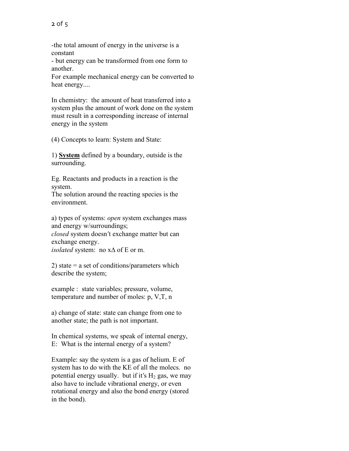-the total amount of energy in the universe is a constant

- but energy can be transformed from one form to another.

For example mechanical energy can be converted to heat energy....

In chemistry: the amount of heat transferred into a system plus the amount of work done on the system must result in a corresponding increase of internal energy in the system

(4) Concepts to learn: System and State:

1) **System** defined by a boundary, outside is the surrounding.

Eg. Reactants and products in a reaction is the system.

The solution around the reacting species is the environment.

a) types of systems: *open* system exchanges mass and energy w/surroundings;

*closed* system doesn't exchange matter but can exchange energy.

*isolated* system: no x∆ of E or m.

2) state  $=$  a set of conditions/parameters which describe the system;

example : state variables; pressure, volume, temperature and number of moles: p, V,T, n

a) change of state: state can change from one to another state; the path is not important.

In chemical systems, we speak of internal energy, E: What is the internal energy of a system?

Example: say the system is a gas of helium. E of system has to do with the KE of all the molecs. no potential energy usually. but if it's  $H_2$  gas, we may also have to include vibrational energy, or even rotational energy and also the bond energy (stored in the bond).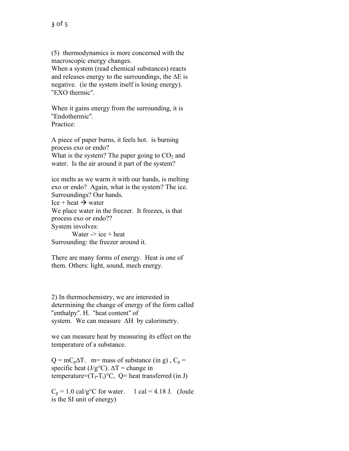(5) thermodynamics is more concerned with the macroscopic energy changes.

When a system (read chemical substances) reacts and releases energy to the surroundings, the ∆E is negative. (ie the system itself is losing energy). "EXO thermic".

When it gains energy from the surrounding, it is "Endothermic". Practice<sup>.</sup>

A piece of paper burns, it feels hot. is burning process exo or endo? What is the system? The paper going to  $CO<sub>2</sub>$  and water. Is the air around it part of the system?

ice melts as we warm it with our hands, is melting exo or endo? Again, what is the system? The ice. Surroundings? Our hands. Ice + heat  $\rightarrow$  water We place water in the freezer. It freezes, is that process exo or endo?? System involves:

Water  $\rightarrow$  ice + heat Surrounding: the freezer around it.

There are many forms of energy. Heat is one of them. Others: light, sound, mech energy.

2) In thermochemistry, we are interested in determining the change of energy of the form called "enthalpy". H. "heat content" of system. We can measure ∆H by calorimetry.

we can measure heat by measuring its effect on the temperature of a substance.

 $Q = mC_p\Delta T$ . m= mass of substance (in g),  $C_p$  = specific heat (J/g°C).  $\Delta T$  = change in temperature= $(T_f-T_i)^{\circ}C$ , Q= heat transferred (in J)

 $C_p = 1.0$  cal/g<sup>o</sup>C for water. 1 cal = 4.18 J. (Joule is the SI unit of energy)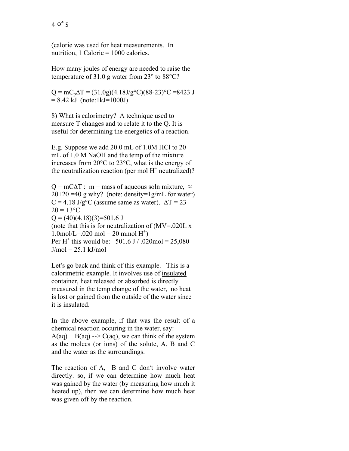4 of 5

(calorie was used for heat measurements. In nutrition,  $1$  Calorie = 1000 calories.

How many joules of energy are needed to raise the temperature of 31.0 g water from 23° to 88°C?

 $Q = mC_p\Delta T = (31.0g)(4.18J/g<sup>o</sup>C)(88-23)<sup>o</sup>C = 8423 J$  $= 8.42$  kJ (note:1kJ=1000J)

8) What is calorimetry? A technique used to measure T changes and to relate it to the Q. It is useful for determining the energetics of a reaction.

E.g. Suppose we add 20.0 mL of 1.0M HCl to 20 mL of 1.0 M NaOH and the temp of the mixture increases from 20°C to 23°C, what is the energy of the neutralization reaction (per mol  $H^+$  neutralized)?

 $Q = mC\Delta T$ : m = mass of aqueous soln mixture,  $\approx$  $20+20 = 40$  g why? (note: density=1g/mL for water)  $C = 4.18$  J/g<sup>o</sup>C (assume same as water).  $\Delta T = 23$ - $20 = +3$ °C  $Q = (40)(4.18)(3)=501.6$  J (note that this is for neutralization of  $(MV=020L x)$  $1.0$ mol/L=.020 mol = 20 mmol H<sup>+</sup>) Per H<sup>+</sup> this would be:  $501.6$  J / .020mol = 25,080  $J/mol = 25.1$  kJ/mol

Let's go back and think of this example. This is a calorimetric example. It involves use of insulated container, heat released or absorbed is directly measured in the temp change of the water, no heat is lost or gained from the outside of the water since it is insulated.

In the above example, if that was the result of a chemical reaction occuring in the water, say:  $A(aq) + B(aq) \rightarrow C(aq)$ , we can think of the system as the molecs (or ions) of the solute, A, B and C and the water as the surroundings.

The reaction of A, B and C don't involve water directly. so, if we can determine how much heat was gained by the water (by measuring how much it heated up), then we can determine how much heat was given off by the reaction.